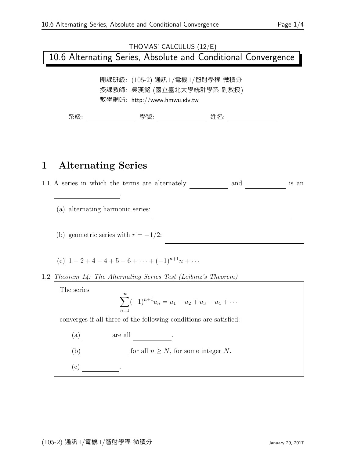# THOMAS' CALCULUS (12/E) 10.6 Alternating Series, Absolute and Conditional Convergence 開課班級: (105-2) 通訊1/電機1/智財學程 微積分

授課教師: 吳漢銘 (國立臺北大學統計學系 副教授) 教學網站: http://www.hmwu.idv.tw

系級: 學號: 姓名:

### 1 Alternating Series

 $1.1 \text{ A series in which the terms are alternately}$  and is an alternating series .  $(a)$  alternating harmonic series: 2 2 4 5 n (b) geometric series with  $r = -1/2$ : 2 4 8 2 (c)  $1 - 2 + 4 - 4 + 5 - 6 + \cdots + (-1)^{n+1}n + \cdots$ 1.2 Theorem 14: The Alternating Series Test (Leibniz's Theorem) The series  $\sum^{\infty}$  $n=1$  $(-1)^{n+1}u_n = u_1 - u_2 + u_3 - u_4 + \cdots$ converges if all three of the following conditions are satisfied: (a) \_\_\_\_\_\_\_ are all \_\_\_\_\_\_\_\_. (b)  $\qquad \qquad$  for all  $n \geq N$ , for some integer N.  $(c)$   $\qquad \qquad$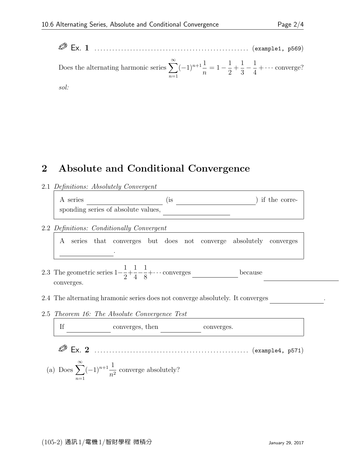Ex. 1 . . . . . . . . . . . . . . . . . . . . . . . . . . . . . . . . . . . . . . . . . . . . . . . . . . . . (example1, p569) Does the alternating harmonic series  $\sum_{n=1}^{\infty}$  $n=1$  $(-1)^{n+1}\frac{1}{n}$ n  $= 1 - \frac{1}{2}$ 2  $+$ 1 3  $-\frac{1}{4}$ 4  $+ \cdots$  converge? sol:

### 2 Absolute and Conditional Convergence

#### 2.1 Definitions: Absolutely Convergent

A series (is entitled) if the corresponding series of absolute values,

#### 2.2 Definitions: Conditionally Convergent

A series that converges but does not converge absolutely converges conditionally .

- 2.3 The geometric series  $1-\frac{1}{2}$ 2  $+$ 1 4  $-\frac{1}{2}$  $\frac{1}{8} + \cdots$  converges \_\_\_\_\_\_\_\_\_\_\_\_\_\_\_\_\_\_ because converges.
- 2.4 The alternating hramonic series does not converge absolutely. It converges
- 2.5 Theorem 16: The Absolute Convergence Test T£ converges, then energes. non-next converges. Ex. 2 . . . . . . . . . . . . . . . . . . . . . . . . . . . . . . . . . . . . . . . . . . . . . . . . . . . . (example4, p571)
	- (a) Does  $\sum_{n=1}^{\infty}$  $n=1$  $(-1)^{n+1}\frac{1}{a}$  $\frac{1}{n^2}$  converge absolutely?

2

4

8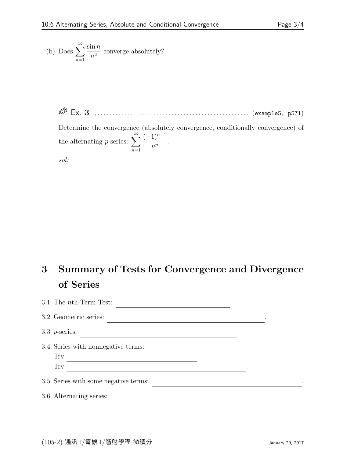- (b) Does  $\sum_{n=1}^{\infty}$  $n=1$  $\sin n$  $\frac{n^2}{n^2}$  converge absolutely?
	- Ex. 3 . . . . . . . . . . . . . . . . . . . . . . . . . . . . . . . . . . . . . . . . . . . . . . . . . . . . (example5, p571)

Determine the convergence (absolutely convergence, conditionally convergence) of the alternating *p*-series:  $\sum_{n=1}^{\infty}$  $n=1$  $(-1)^{n-1}$  $rac{1}{n^p}$ .

sol:

## 3 Summary of Tests for Convergence and Divergence of Series

| 3.1 The <i>nth</i> -Term Test:       |  |
|--------------------------------------|--|
| 3.2 Geometric series:                |  |
| 3.3 $p$ -series:                     |  |
| 3.4 Series with nonnegative terms:   |  |
| <b>Try</b>                           |  |
| Try                                  |  |
| 3.5 Series with some negative terms: |  |
| 3.6 Alternating series:              |  |